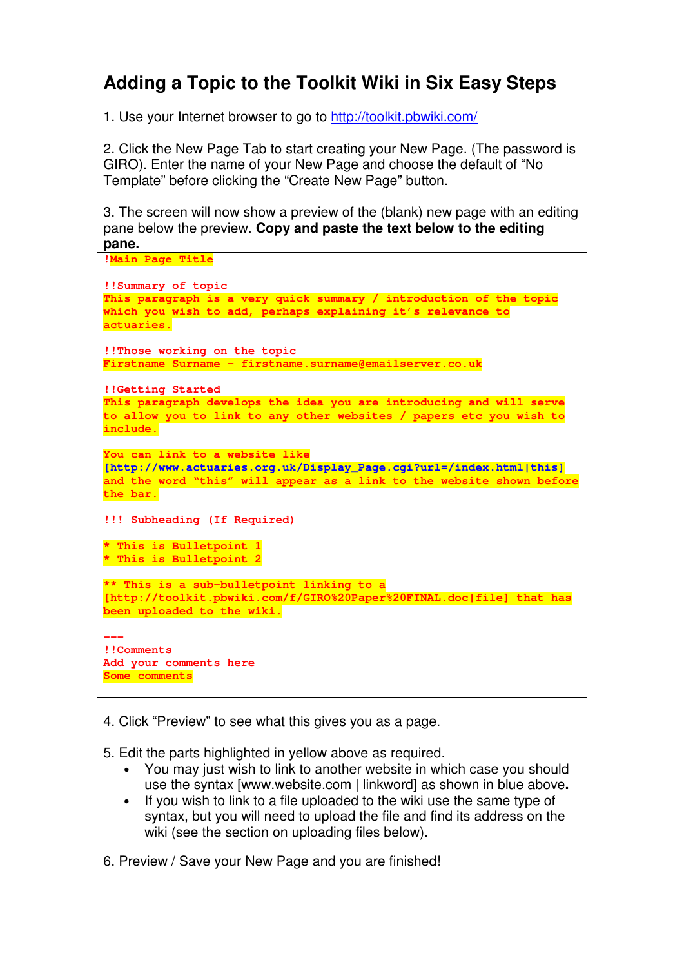# **Adding a Topic to the Toolkit Wiki in Six Easy Steps**

1. Use your Internet browser to go to http://toolkit.pbwiki.com/

2. Click the New Page Tab to start creating your New Page. (The password is GIRO). Enter the name of your New Page and choose the default of "No Template" before clicking the "Create New Page" button.

3. The screen will now show a preview of the (blank) new page with an editing pane below the preview. **Copy and paste the text below to the editing pane.**

```
!Main Page Title 
!!Summary of topic 
This paragraph is a very quick summary / introduction of the topic 
which you wish to add, perhaps explaining it's relevance to 
actuaries. 
!!Those working on the topic 
Firstname Surname – firstname.surname@emailserver.co.uk 
!!Getting Started 
This paragraph develops the idea you are introducing and will serve 
to allow you to link to any other websites / papers etc you wish to 
include. 
You can link to a website like 
[http://www.actuaries.org.uk/Display_Page.cgi?url=/index.html|this]
and the word "this" will appear as a link to the website shown before 
the bar. 
!!! Subheading (If Required) 
* This is Bulletpoint 1 
* This is Bulletpoint 2 
** This is a sub-bulletpoint linking to a 
[http://toolkit.pbwiki.com/f/GIRO%20Paper%20FINAL.doc|file] that has 
been uploaded to the wiki. 
--- 
!!Comments 
Add your comments here 
Some comments
```
4. Click "Preview" to see what this gives you as a page.

5. Edit the parts highlighted in yellow above as required.

- You may just wish to link to another website in which case you should use the syntax [www.website.com | linkword] as shown in blue above**.**
- If you wish to link to a file uploaded to the wiki use the same type of syntax, but you will need to upload the file and find its address on the wiki (see the section on uploading files below).
- 6. Preview / Save your New Page and you are finished!